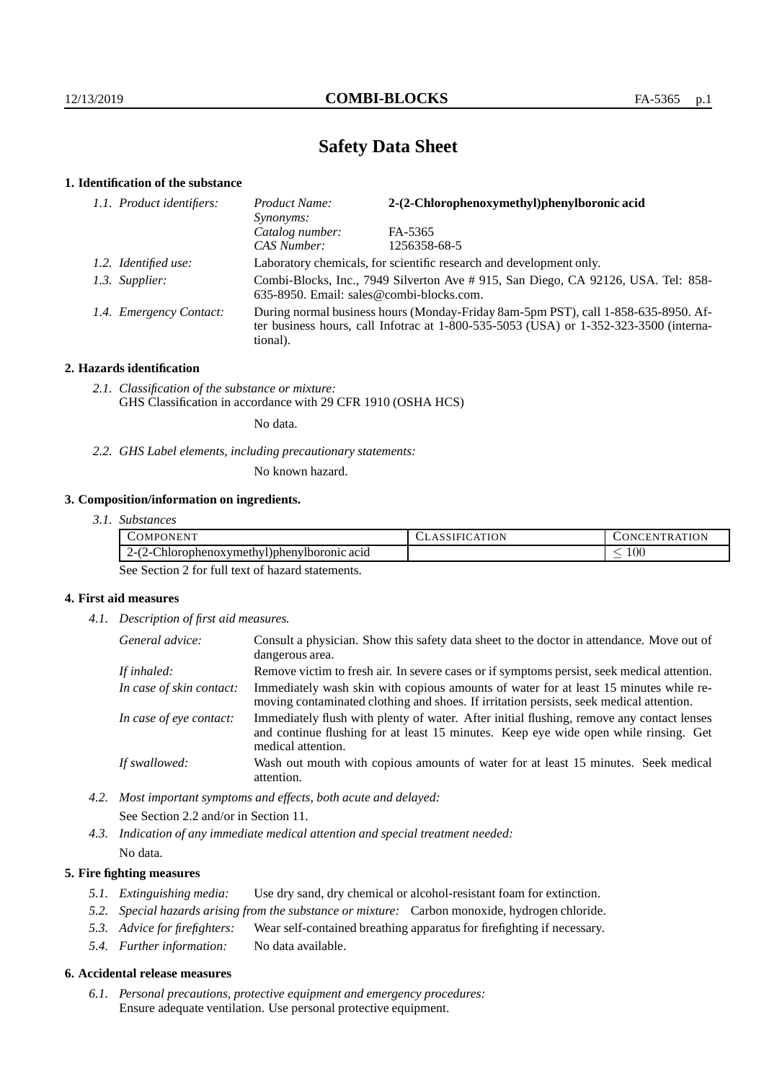# **Safety Data Sheet**

# **1. Identification of the substance**

| 1.1. Product identifiers: | 2-(2-Chlorophenoxymethyl)phenylboronic acid<br>Product Name:<br>Synonyms:                                                                                                               |              |  |
|---------------------------|-----------------------------------------------------------------------------------------------------------------------------------------------------------------------------------------|--------------|--|
|                           | Catalog number:                                                                                                                                                                         | FA-5365      |  |
|                           | CAS Number:                                                                                                                                                                             | 1256358-68-5 |  |
| 1.2. Identified use:      | Laboratory chemicals, for scientific research and development only.                                                                                                                     |              |  |
| 1.3. Supplier:            | Combi-Blocks, Inc., 7949 Silverton Ave # 915, San Diego, CA 92126, USA. Tel: 858-<br>635-8950. Email: sales@combi-blocks.com.                                                           |              |  |
| 1.4. Emergency Contact:   | During normal business hours (Monday-Friday 8am-5pm PST), call 1-858-635-8950. Af-<br>ter business hours, call Infotrac at 1-800-535-5053 (USA) or 1-352-323-3500 (interna-<br>tional). |              |  |

## **2. Hazards identification**

*2.1. Classification of the substance or mixture:* GHS Classification in accordance with 29 CFR 1910 (OSHA HCS)

No data.

*2.2. GHS Label elements, including precautionary statements:*

No known hazard.

# **3. Composition/information on ingredients.**

*3.1. Substances*

| -<br>OMPONENT                                                                                      | <b>\TION</b> | 'ON<br><b>INI</b><br>. .<br>$\mathbf{H}$ |
|----------------------------------------------------------------------------------------------------|--------------|------------------------------------------|
| $\sim$<br>$\sim$<br>$\curvearrowright$<br>hlorophenoxymethyl)phenylboronic_<br>acid<br>.<br>.<br>- |              | 100 <sub>1</sub><br>_                    |

See Section 2 for full text of hazard statements.

# **4. First aid measures**

*4.1. Description of first aid measures.*

| General advice:          | Consult a physician. Show this safety data sheet to the doctor in attendance. Move out of<br>dangerous area.                                                                                            |
|--------------------------|---------------------------------------------------------------------------------------------------------------------------------------------------------------------------------------------------------|
| If inhaled:              | Remove victim to fresh air. In severe cases or if symptoms persist, seek medical attention.                                                                                                             |
| In case of skin contact: | Immediately wash skin with copious amounts of water for at least 15 minutes while re-<br>moving contaminated clothing and shoes. If irritation persists, seek medical attention.                        |
| In case of eye contact:  | Immediately flush with plenty of water. After initial flushing, remove any contact lenses<br>and continue flushing for at least 15 minutes. Keep eye wide open while rinsing. Get<br>medical attention. |
| If swallowed:            | Wash out mouth with copious amounts of water for at least 15 minutes. Seek medical<br>attention.                                                                                                        |

*4.2. Most important symptoms and effects, both acute and delayed:* See Section 2.2 and/or in Section 11.

*4.3. Indication of any immediate medical attention and special treatment needed:* No data.

## **5. Fire fighting measures**

- *5.1. Extinguishing media:* Use dry sand, dry chemical or alcohol-resistant foam for extinction.
- *5.2. Special hazards arising from the substance or mixture:* Carbon monoxide, hydrogen chloride.
- *5.3. Advice for firefighters:* Wear self-contained breathing apparatus for firefighting if necessary.
- *5.4. Further information:* No data available.

## **6. Accidental release measures**

*6.1. Personal precautions, protective equipment and emergency procedures:* Ensure adequate ventilation. Use personal protective equipment.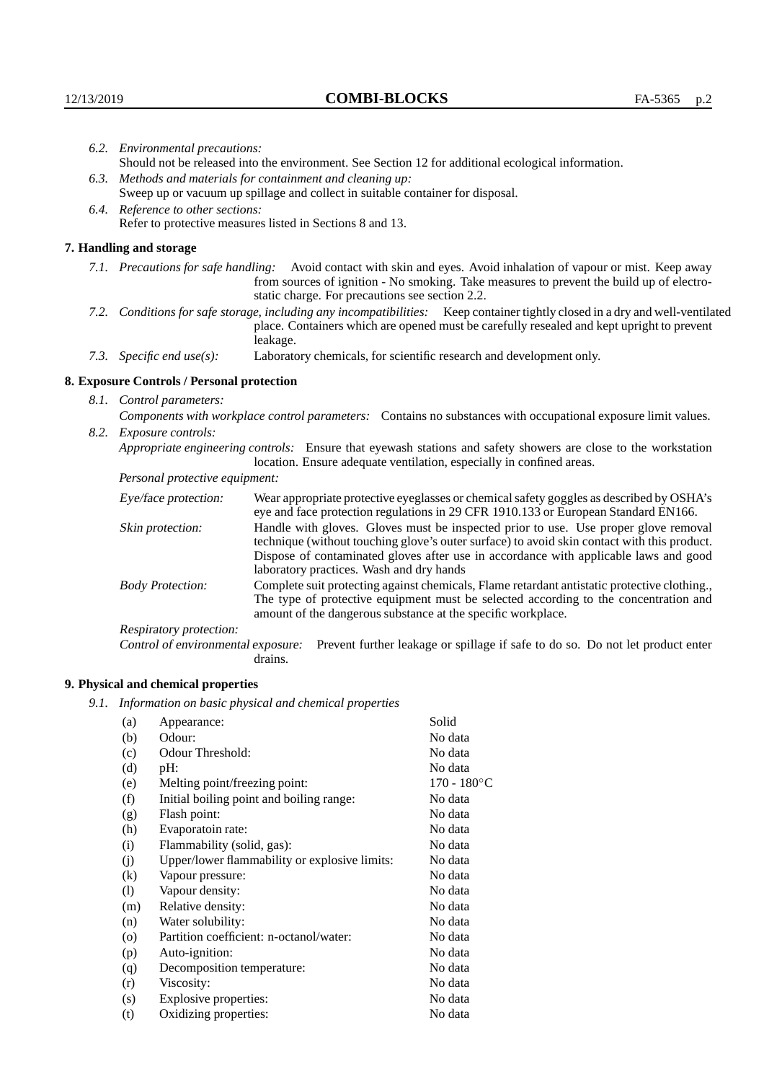|                                                                                | 6.2. Environmental precautions:                                                                                                                                                                                                                                    |                                                                                                                                                                                                                                                                                                                        |  |  |
|--------------------------------------------------------------------------------|--------------------------------------------------------------------------------------------------------------------------------------------------------------------------------------------------------------------------------------------------------------------|------------------------------------------------------------------------------------------------------------------------------------------------------------------------------------------------------------------------------------------------------------------------------------------------------------------------|--|--|
|                                                                                |                                                                                                                                                                                                                                                                    | Should not be released into the environment. See Section 12 for additional ecological information.                                                                                                                                                                                                                     |  |  |
|                                                                                | 6.3. Methods and materials for containment and cleaning up:                                                                                                                                                                                                        |                                                                                                                                                                                                                                                                                                                        |  |  |
| Sweep up or vacuum up spillage and collect in suitable container for disposal. |                                                                                                                                                                                                                                                                    |                                                                                                                                                                                                                                                                                                                        |  |  |
|                                                                                | 6.4. Reference to other sections:                                                                                                                                                                                                                                  |                                                                                                                                                                                                                                                                                                                        |  |  |
| Refer to protective measures listed in Sections 8 and 13.                      |                                                                                                                                                                                                                                                                    |                                                                                                                                                                                                                                                                                                                        |  |  |
|                                                                                | 7. Handling and storage                                                                                                                                                                                                                                            |                                                                                                                                                                                                                                                                                                                        |  |  |
|                                                                                | 7.1. Precautions for safe handling: Avoid contact with skin and eyes. Avoid inhalation of vapour or mist. Keep away<br>from sources of ignition - No smoking. Take measures to prevent the build up of electro-<br>static charge. For precautions see section 2.2. |                                                                                                                                                                                                                                                                                                                        |  |  |
|                                                                                |                                                                                                                                                                                                                                                                    | 7.2. Conditions for safe storage, including any incompatibilities: Keep container tightly closed in a dry and well-ventilated<br>place. Containers which are opened must be carefully resealed and kept upright to prevent<br>leakage.                                                                                 |  |  |
|                                                                                | 7.3. Specific end use(s):                                                                                                                                                                                                                                          | Laboratory chemicals, for scientific research and development only.                                                                                                                                                                                                                                                    |  |  |
|                                                                                | 8. Exposure Controls / Personal protection                                                                                                                                                                                                                         |                                                                                                                                                                                                                                                                                                                        |  |  |
|                                                                                | 8.1. Control parameters:                                                                                                                                                                                                                                           |                                                                                                                                                                                                                                                                                                                        |  |  |
|                                                                                | Components with workplace control parameters: Contains no substances with occupational exposure limit values.                                                                                                                                                      |                                                                                                                                                                                                                                                                                                                        |  |  |
|                                                                                | 8.2. Exposure controls:                                                                                                                                                                                                                                            |                                                                                                                                                                                                                                                                                                                        |  |  |
|                                                                                |                                                                                                                                                                                                                                                                    | Appropriate engineering controls: Ensure that eyewash stations and safety showers are close to the workstation<br>location. Ensure adequate ventilation, especially in confined areas.                                                                                                                                 |  |  |
|                                                                                | Personal protective equipment:                                                                                                                                                                                                                                     |                                                                                                                                                                                                                                                                                                                        |  |  |
|                                                                                | Eye/face protection:                                                                                                                                                                                                                                               | Wear appropriate protective eyeglasses or chemical safety goggles as described by OSHA's<br>eye and face protection regulations in 29 CFR 1910.133 or European Standard EN166.                                                                                                                                         |  |  |
|                                                                                | Skin protection:                                                                                                                                                                                                                                                   | Handle with gloves. Gloves must be inspected prior to use. Use proper glove removal<br>technique (without touching glove's outer surface) to avoid skin contact with this product.<br>Dispose of contaminated gloves after use in accordance with applicable laws and good<br>laboratory practices. Wash and dry hands |  |  |
|                                                                                | <b>Body Protection:</b>                                                                                                                                                                                                                                            | Complete suit protecting against chemicals, Flame retardant antistatic protective clothing.,<br>The type of protective equipment must be selected according to the concentration and<br>amount of the dangerous substance at the specific workplace.                                                                   |  |  |
|                                                                                | Respiratory protection:                                                                                                                                                                                                                                            |                                                                                                                                                                                                                                                                                                                        |  |  |

Control of environmental exposure: Prevent further leakage or spillage if safe to do so. Do not let product enter drains.

# **9. Physical and chemical properties**

*9.1. Information on basic physical and chemical properties*

| (a)                | Appearance:                                   | Solid                 |
|--------------------|-----------------------------------------------|-----------------------|
| (b)                | Odour:                                        | No data               |
| (c)                | Odour Threshold:                              | No data               |
| (d)                | pH:                                           | No data               |
| (e)                | Melting point/freezing point:                 | $170 - 180^{\circ}$ C |
| (f)                | Initial boiling point and boiling range:      | No data               |
| (g)                | Flash point:                                  | No data               |
| (h)                | Evaporatoin rate:                             | No data               |
| (i)                | Flammability (solid, gas):                    | No data               |
| (j)                | Upper/lower flammability or explosive limits: | No data               |
| (k)                | Vapour pressure:                              | No data               |
| (1)                | Vapour density:                               | No data               |
| (m)                | Relative density:                             | No data               |
| (n)                | Water solubility:                             | No data               |
| $\left( 0 \right)$ | Partition coefficient: n-octanol/water:       | No data               |
| (p)                | Auto-ignition:                                | No data               |
| (q)                | Decomposition temperature:                    | No data               |
| (r)                | Viscosity:                                    | No data               |
| (s)                | Explosive properties:                         | No data               |
| (t)                | Oxidizing properties:                         | No data               |